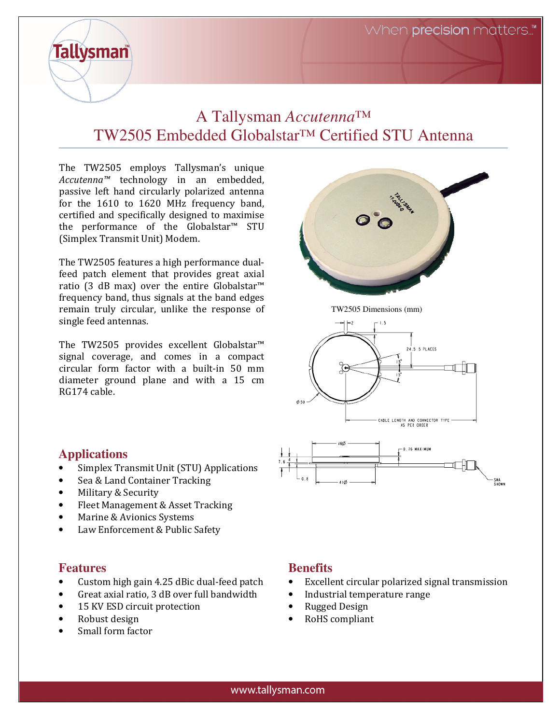# A Tallysman *Accutenna™* TW2505 Embedded Globalstar*™* Certified STU Antenna

The TW2505 employs Tallysman's unique Accutenna™ technology in an embedded, passive left hand circularly polarized antenna for the 1610 to 1620 MHz frequency band, certified and specifically designed to maximise the performance of the Globalstar™ STU (Simplex Transmit Unit) Modem.

The TW2505 features a high performance dualfeed patch element that provides great axial ratio (3 dB max) over the entire Globalstar™ frequency band, thus signals at the band edges remain truly circular, unlike the response of single feed antennas.

The TW2505 provides excellent Globalstar™ signal coverage, and comes in a compact circular form factor with a built-in 50 mm diameter ground plane and with a 15 cm RG174 cable.



TW2505 Dimensions (mm)



#### **Applications**

**Tallysman** 

- Simplex Transmit Unit (STU) Applications
- Sea & Land Container Tracking
- Military & Security
- Fleet Management & Asset Tracking
- Marine & Avionics Systems
- Law Enforcement & Public Safety

# **Features**

- Custom high gain 4.25 dBic dual-feed patch
- Great axial ratio, 3 dB over full bandwidth
- 15 KV ESD circuit protection
- Robust design
- Small form factor

# **Benefits**

Excellent circular polarized signal transmission

SMA<br>SHOWN

- Industrial temperature range
- Rugged Design
- RoHS compliant